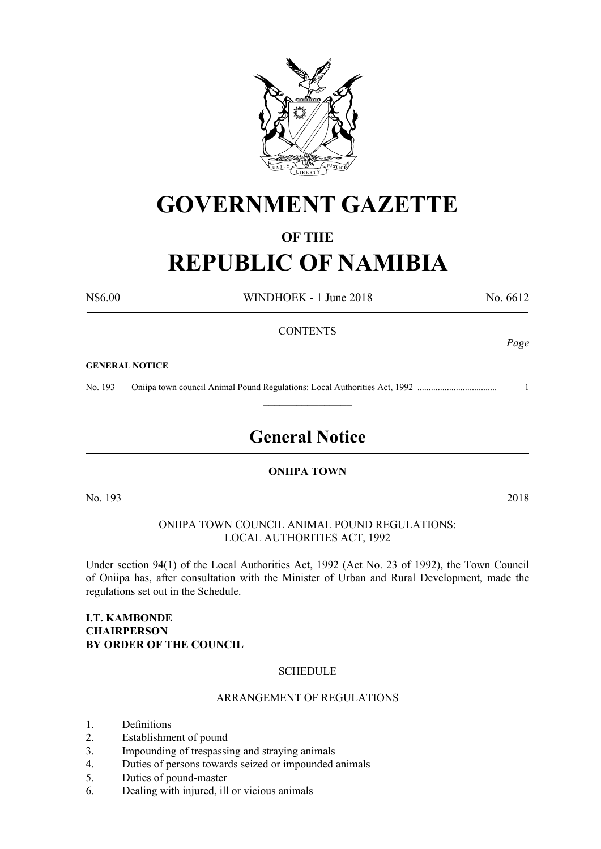

# **GOVERNMENT GAZETTE**

## **OF THE**

# **REPUBLIC OF NAMIBIA**

N\$6.00 WINDHOEK - 1 June 2018 No. 6612

*Page*

#### **CONTENTS**

#### **GENERAL NOTICE**

No. 193 Oniipa town council Animal Pound Regulations: Local Authorities Act, 1992 ................................... 1

# **General Notice**

 $\frac{1}{2}$ 

#### **ONIIPA TOWN**

No. 193 2018

ONIIPA TOWN COUNCIL ANIMAL POUND REGULATIONS: LOCAL AUTHORITIES ACT, 1992

Under section 94(1) of the Local Authorities Act, 1992 (Act No. 23 of 1992), the Town Council of Oniipa has, after consultation with the Minister of Urban and Rural Development, made the regulations set out in the Schedule.

#### **I.T. KAMBONDE CHAIRPERSON BY ORDER OF THE COUNCIL**

#### **SCHEDULE**

#### ARRANGEMENT OF REGULATIONS

- 1. Definitions
- 2. Establishment of pound
- 3. Impounding of trespassing and straying animals
- 4. Duties of persons towards seized or impounded animals
- 5. Duties of pound-master
- 6. Dealing with injured, ill or vicious animals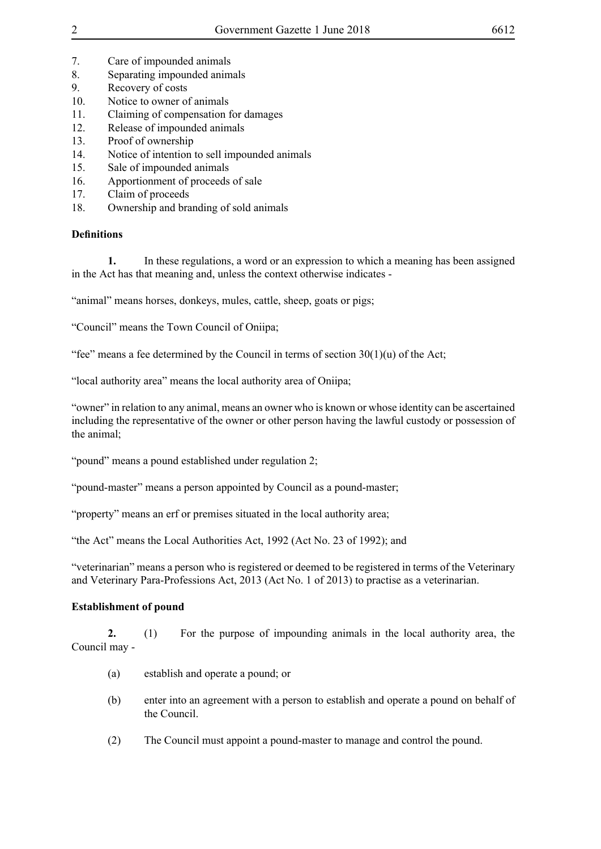- 7. Care of impounded animals
- 8. Separating impounded animals
- 9. Recovery of costs
- 10. Notice to owner of animals
- 11. Claiming of compensation for damages
- 12. Release of impounded animals
- 13. Proof of ownership
- 14. Notice of intention to sell impounded animals
- 15. Sale of impounded animals
- 16. Apportionment of proceeds of sale
- 17. Claim of proceeds
- 18. Ownership and branding of sold animals

### **Definitions**

**1.** In these regulations, a word or an expression to which a meaning has been assigned in the Act has that meaning and, unless the context otherwise indicates -

"animal" means horses, donkeys, mules, cattle, sheep, goats or pigs;

"Council" means the Town Council of Oniipa;

"fee" means a fee determined by the Council in terms of section  $30(1)(u)$  of the Act;

"local authority area" means the local authority area of Oniipa;

"owner" in relation to any animal, means an owner who is known or whose identity can be ascertained including the representative of the owner or other person having the lawful custody or possession of the animal;

"pound" means a pound established under regulation 2;

"pound-master" means a person appointed by Council as a pound-master;

"property" means an erf or premises situated in the local authority area;

"the Act" means the Local Authorities Act, 1992 (Act No. 23 of 1992); and

"veterinarian" means a person who is registered or deemed to be registered in terms of the Veterinary and Veterinary Para-Professions Act, 2013 (Act No. 1 of 2013) to practise as a veterinarian.

### **Establishment of pound**

**2.** (1) For the purpose of impounding animals in the local authority area, the Council may -

- (a) establish and operate a pound; or
- (b) enter into an agreement with a person to establish and operate a pound on behalf of the Council.
- (2) The Council must appoint a pound-master to manage and control the pound.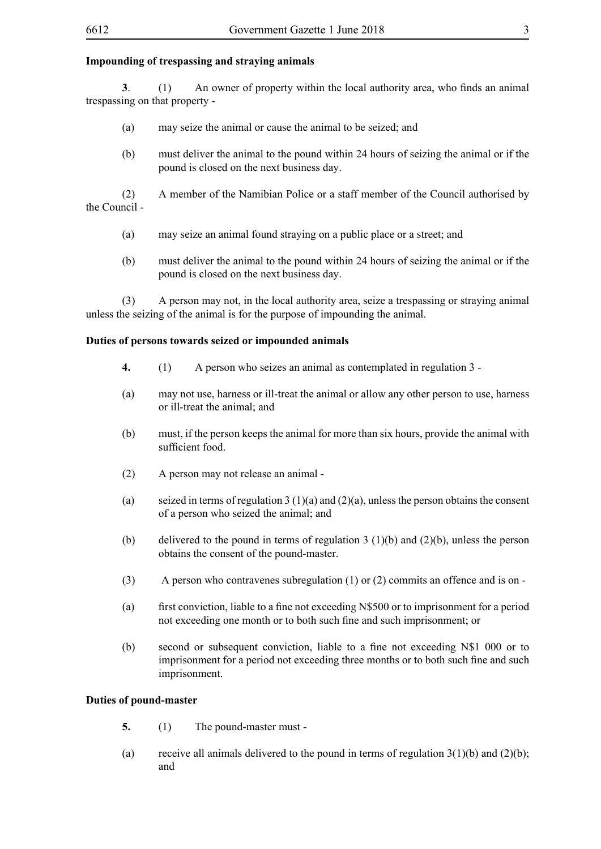#### **Impounding of trespassing and straying animals**

**3**. (1) An owner of property within the local authority area, who finds an animal trespassing on that property -

- (a) may seize the animal or cause the animal to be seized; and
- (b) must deliver the animal to the pound within 24 hours of seizing the animal or if the pound is closed on the next business day.

(2) A member of the Namibian Police or a staff member of the Council authorised by the Council -

- (a) may seize an animal found straying on a public place or a street; and
- (b) must deliver the animal to the pound within 24 hours of seizing the animal or if the pound is closed on the next business day.

(3) A person may not, in the local authority area, seize a trespassing or straying animal unless the seizing of the animal is for the purpose of impounding the animal.

#### **Duties of persons towards seized or impounded animals**

- **4.** (1) A person who seizes an animal as contemplated in regulation 3 -
- (a) may not use, harness or ill-treat the animal or allow any other person to use, harness or ill-treat the animal; and
- (b) must, if the person keeps the animal for more than six hours, provide the animal with sufficient food.
- (2) A person may not release an animal -
- (a) seized in terms of regulation 3 (1)(a) and (2)(a), unless the person obtains the consent of a person who seized the animal; and
- (b) delivered to the pound in terms of regulation 3 (1)(b) and (2)(b), unless the person obtains the consent of the pound-master.
- (3) A person who contravenes subregulation (1) or (2) commits an offence and is on -
- (a) first conviction, liable to a fine not exceeding N\$500 or to imprisonment for a period not exceeding one month or to both such fine and such imprisonment; or
- (b) second or subsequent conviction, liable to a fine not exceeding N\$1 000 or to imprisonment for a period not exceeding three months or to both such fine and such imprisonment.

#### **Duties of pound-master**

- **5.** (1) The pound-master must -
- (a) receive all animals delivered to the pound in terms of regulation  $3(1)(b)$  and  $(2)(b)$ ; and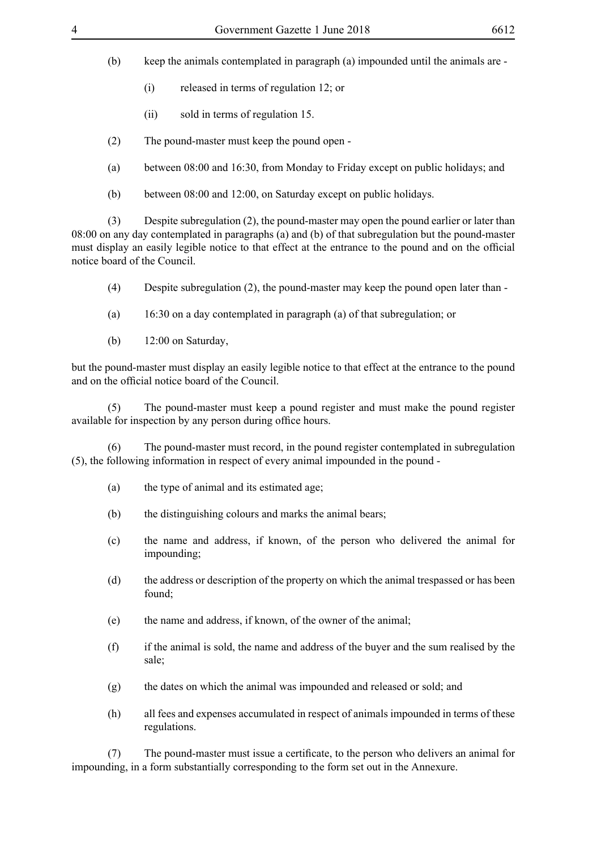- (b) keep the animals contemplated in paragraph (a) impounded until the animals are
	- (i) released in terms of regulation 12; or
	- (ii) sold in terms of regulation 15.
- (2) The pound-master must keep the pound open -
- (a) between 08:00 and 16:30, from Monday to Friday except on public holidays; and
- (b) between 08:00 and 12:00, on Saturday except on public holidays.

(3) Despite subregulation (2), the pound-master may open the pound earlier or later than 08:00 on any day contemplated in paragraphs (a) and (b) of that subregulation but the pound-master must display an easily legible notice to that effect at the entrance to the pound and on the official notice board of the Council.

- (4) Despite subregulation (2), the pound-master may keep the pound open later than -
- (a) 16:30 on a day contemplated in paragraph (a) of that subregulation; or
- (b) 12:00 on Saturday,

but the pound-master must display an easily legible notice to that effect at the entrance to the pound and on the official notice board of the Council.

(5) The pound-master must keep a pound register and must make the pound register available for inspection by any person during office hours.

(6) The pound-master must record, in the pound register contemplated in subregulation (5), the following information in respect of every animal impounded in the pound -

- (a) the type of animal and its estimated age;
- (b) the distinguishing colours and marks the animal bears;
- (c) the name and address, if known, of the person who delivered the animal for impounding;
- (d) the address or description of the property on which the animal trespassed or has been found;
- (e) the name and address, if known, of the owner of the animal;
- (f) if the animal is sold, the name and address of the buyer and the sum realised by the sale;
- (g) the dates on which the animal was impounded and released or sold; and
- (h) all fees and expenses accumulated in respect of animals impounded in terms of these regulations.

(7) The pound-master must issue a certificate, to the person who delivers an animal for impounding, in a form substantially corresponding to the form set out in the Annexure.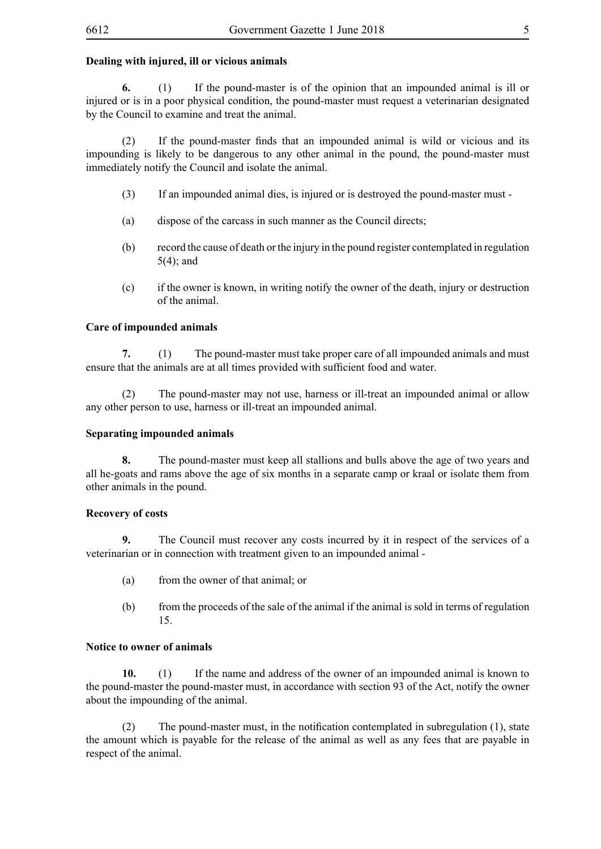#### **Dealing with injured, ill or vicious animals**

**6.** (1) If the pound-master is of the opinion that an impounded animal is ill or injured or is in a poor physical condition, the pound-master must request a veterinarian designated by the Council to examine and treat the animal.

 (2) If the pound-master finds that an impounded animal is wild or vicious and its impounding is likely to be dangerous to any other animal in the pound, the pound-master must immediately notify the Council and isolate the animal.

- (3) If an impounded animal dies, is injured or is destroyed the pound-master must -
- (a) dispose of the carcass in such manner as the Council directs;
- (b) record the cause of death or the injury in the pound register contemplated in regulation 5(4); and
- (c) if the owner is known, in writing notify the owner of the death, injury or destruction of the animal.

#### **Care of impounded animals**

**7.** (1) The pound-master must take proper care of all impounded animals and must ensure that the animals are at all times provided with sufficient food and water.

(2) The pound-master may not use, harness or ill-treat an impounded animal or allow any other person to use, harness or ill-treat an impounded animal.

#### **Separating impounded animals**

**8.** The pound-master must keep all stallions and bulls above the age of two years and all he-goats and rams above the age of six months in a separate camp or kraal or isolate them from other animals in the pound.

#### **Recovery of costs**

**9.** The Council must recover any costs incurred by it in respect of the services of a veterinarian or in connection with treatment given to an impounded animal -

- (a) from the owner of that animal; or
- (b) from the proceeds of the sale of the animal if the animal is sold in terms of regulation 15.

#### **Notice to owner of animals**

**10.** (1) If the name and address of the owner of an impounded animal is known to the pound-master the pound-master must, in accordance with section 93 of the Act, notify the owner about the impounding of the animal.

 $(2)$  The pound-master must, in the notification contemplated in subregulation (1), state the amount which is payable for the release of the animal as well as any fees that are payable in respect of the animal.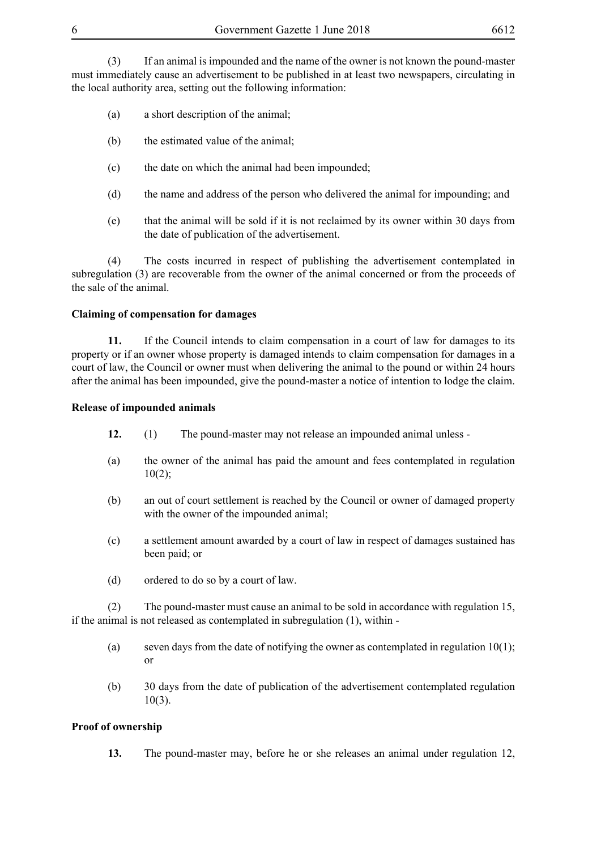(3) If an animal is impounded and the name of the owner is not known the pound-master must immediately cause an advertisement to be published in at least two newspapers, circulating in the local authority area, setting out the following information:

- (a) a short description of the animal;
- (b) the estimated value of the animal;
- (c) the date on which the animal had been impounded;
- (d) the name and address of the person who delivered the animal for impounding; and
- (e) that the animal will be sold if it is not reclaimed by its owner within 30 days from the date of publication of the advertisement.

(4) The costs incurred in respect of publishing the advertisement contemplated in subregulation (3) are recoverable from the owner of the animal concerned or from the proceeds of the sale of the animal.

#### **Claiming of compensation for damages**

**11.** If the Council intends to claim compensation in a court of law for damages to its property or if an owner whose property is damaged intends to claim compensation for damages in a court of law, the Council or owner must when delivering the animal to the pound or within 24 hours after the animal has been impounded, give the pound-master a notice of intention to lodge the claim.

#### **Release of impounded animals**

- **12.** (1) The pound-master may not release an impounded animal unless -
- (a) the owner of the animal has paid the amount and fees contemplated in regulation  $10(2);$
- (b) an out of court settlement is reached by the Council or owner of damaged property with the owner of the impounded animal;
- (c) a settlement amount awarded by a court of law in respect of damages sustained has been paid; or
- (d) ordered to do so by a court of law.

(2) The pound-master must cause an animal to be sold in accordance with regulation 15, if the animal is not released as contemplated in subregulation (1), within -

- (a) seven days from the date of notifying the owner as contemplated in regulation  $10(1)$ ; or
- (b) 30 days from the date of publication of the advertisement contemplated regulation  $10(3)$ .

### **Proof of ownership**

**13.** The pound-master may, before he or she releases an animal under regulation 12,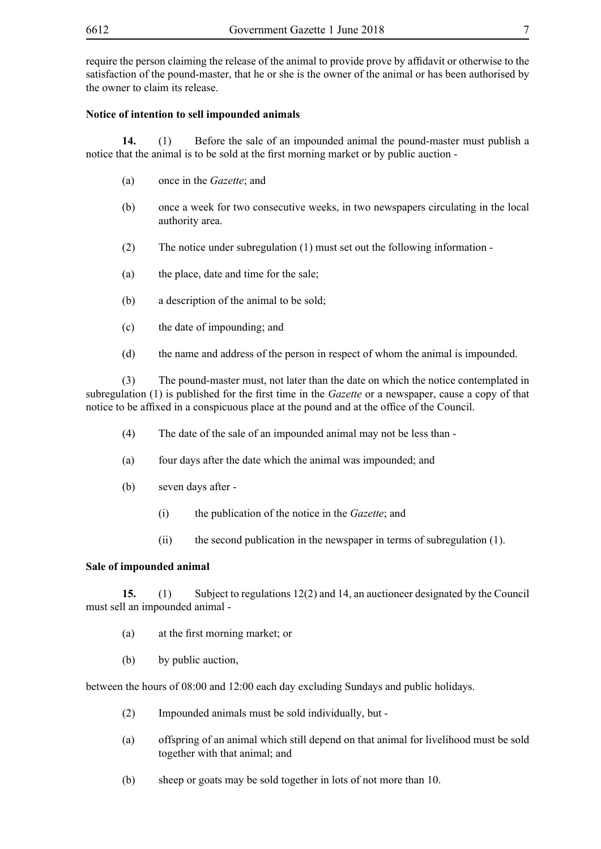require the person claiming the release of the animal to provide prove by affidavit or otherwise to the satisfaction of the pound-master, that he or she is the owner of the animal or has been authorised by the owner to claim its release.

#### **Notice of intention to sell impounded animals**

**14.** (1) Before the sale of an impounded animal the pound-master must publish a notice that the animal is to be sold at the first morning market or by public auction -

- (a) once in the *Gazette*; and
- (b) once a week for two consecutive weeks, in two newspapers circulating in the local authority area.
- (2) The notice under subregulation (1) must set out the following information -
- (a) the place, date and time for the sale;
- (b) a description of the animal to be sold;
- (c) the date of impounding; and
- (d) the name and address of the person in respect of whom the animal is impounded.

(3) The pound-master must, not later than the date on which the notice contemplated in subregulation (1) is published for the first time in the *Gazette* or a newspaper, cause a copy of that notice to be affixed in a conspicuous place at the pound and at the office of the Council.

- (4) The date of the sale of an impounded animal may not be less than -
- (a) four days after the date which the animal was impounded; and
- (b) seven days after
	- (i) the publication of the notice in the *Gazette*; and
	- (ii) the second publication in the newspaper in terms of subregulation (1).

#### **Sale of impounded animal**

**15.** (1) Subject to regulations 12(2) and 14, an auctioneer designated by the Council must sell an impounded animal -

- (a) at the first morning market; or
- (b) by public auction,

between the hours of 08:00 and 12:00 each day excluding Sundays and public holidays.

- (2) Impounded animals must be sold individually, but -
- (a) offspring of an animal which still depend on that animal for livelihood must be sold together with that animal; and
- (b) sheep or goats may be sold together in lots of not more than 10.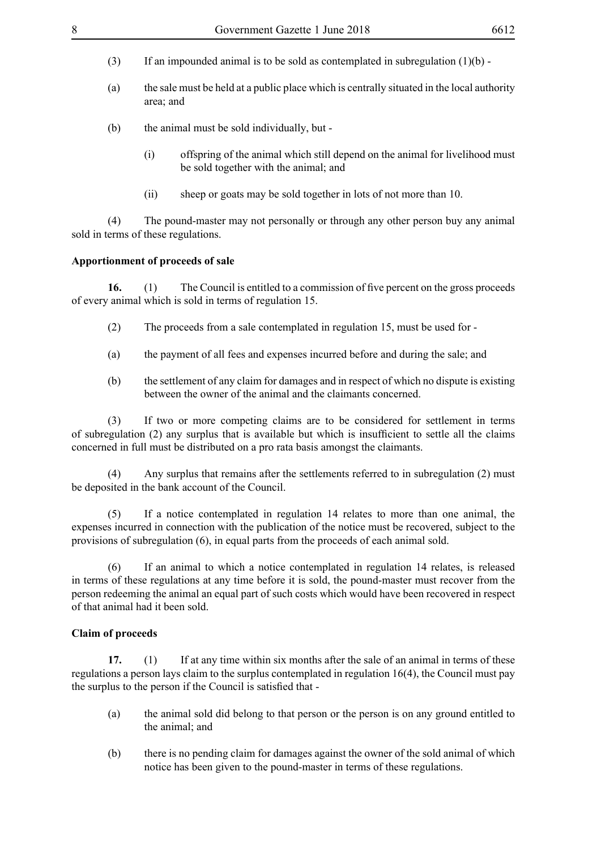- (3) If an impounded animal is to be sold as contemplated in subregulation  $(1)(b)$  -
- (a) the sale must be held at a public place which is centrally situated in the local authority area; and
- (b) the animal must be sold individually, but
	- (i) offspring of the animal which still depend on the animal for livelihood must be sold together with the animal; and
	- (ii) sheep or goats may be sold together in lots of not more than 10.

(4) The pound-master may not personally or through any other person buy any animal sold in terms of these regulations.

#### **Apportionment of proceeds of sale**

**16.** (1) The Council is entitled to a commission of five percent on the gross proceeds of every animal which is sold in terms of regulation 15.

- (2) The proceeds from a sale contemplated in regulation 15, must be used for -
- (a) the payment of all fees and expenses incurred before and during the sale; and
- (b) the settlement of any claim for damages and in respect of which no dispute is existing between the owner of the animal and the claimants concerned.

(3) If two or more competing claims are to be considered for settlement in terms of subregulation (2) any surplus that is available but which is insufficient to settle all the claims concerned in full must be distributed on a pro rata basis amongst the claimants.

(4) Any surplus that remains after the settlements referred to in subregulation (2) must be deposited in the bank account of the Council.

(5) If a notice contemplated in regulation 14 relates to more than one animal, the expenses incurred in connection with the publication of the notice must be recovered, subject to the provisions of subregulation (6), in equal parts from the proceeds of each animal sold.

(6) If an animal to which a notice contemplated in regulation 14 relates, is released in terms of these regulations at any time before it is sold, the pound-master must recover from the person redeeming the animal an equal part of such costs which would have been recovered in respect of that animal had it been sold.

#### **Claim of proceeds**

**17.** (1) If at any time within six months after the sale of an animal in terms of these regulations a person lays claim to the surplus contemplated in regulation 16(4), the Council must pay the surplus to the person if the Council is satisfied that -

- (a) the animal sold did belong to that person or the person is on any ground entitled to the animal; and
- (b) there is no pending claim for damages against the owner of the sold animal of which notice has been given to the pound-master in terms of these regulations.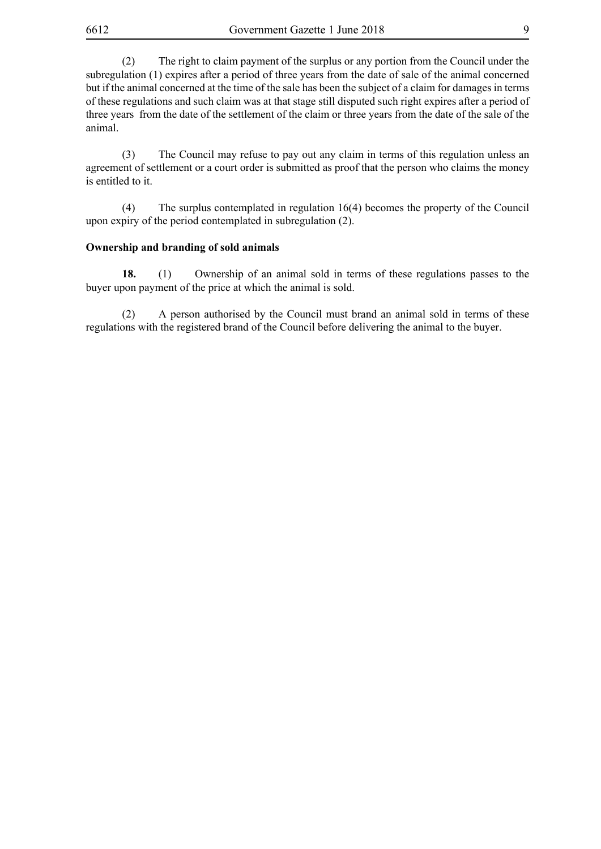(2) The right to claim payment of the surplus or any portion from the Council under the subregulation (1) expires after a period of three years from the date of sale of the animal concerned but if the animal concerned at the time of the sale has been the subject of a claim for damages in terms of these regulations and such claim was at that stage still disputed such right expires after a period of three years from the date of the settlement of the claim or three years from the date of the sale of the animal.

(3) The Council may refuse to pay out any claim in terms of this regulation unless an agreement of settlement or a court order is submitted as proof that the person who claims the money is entitled to it.

(4) The surplus contemplated in regulation 16(4) becomes the property of the Council upon expiry of the period contemplated in subregulation (2).

#### **Ownership and branding of sold animals**

**18.** (1) Ownership of an animal sold in terms of these regulations passes to the buyer upon payment of the price at which the animal is sold.

(2) A person authorised by the Council must brand an animal sold in terms of these regulations with the registered brand of the Council before delivering the animal to the buyer.